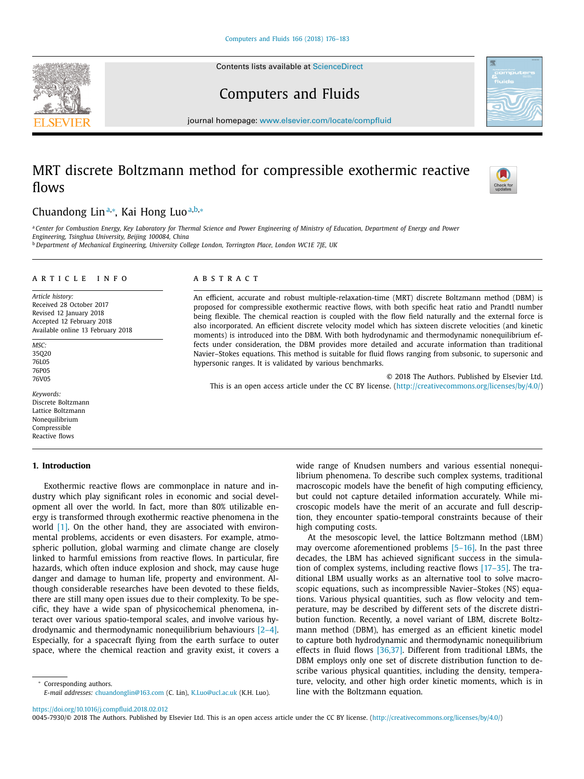Contents lists available at [ScienceDirect](http://www.ScienceDirect.com)





Computers and Fluids

journal homepage: [www.elsevier.com/locate/compfluid](http://www.elsevier.com/locate/compfluid)

# MRT discrete Boltzmann method for compressible exothermic reactive flows



# Chuandong Lin<sup>a,∗</sup>, Kai Hong Luo<sup>a,b,</sup>∗

a Center for Combustion Energy, Key Laboratory for Thermal Science and Power Engineering of Ministry of Education, Department of Energy and Power *Engineering, Tsinghua University, Beijing 100084, China*

<sup>b</sup> *Department of Mechanical Engineering, University College London, Torrington Place, London WC1E 7JE, UK*

#### a r t i c l e i n f o

*Article history:* Received 28 October 2017 Revised 12 January 2018 Accepted 12 February 2018 Available online 13 February 2018

*MSC:* 35Q20 76L05 76P05 76V05

*Keywords:* Discrete Boltzmann Lattice Boltzmann Nonequilibrium Compressible Reactive flows

## **1. Introduction**

Exothermic reactive flows are commonplace in nature and industry which play significant roles in economic and social development all over the world. In fact, more than 80% utilizable energy is transformed through exothermic reactive phenomena in the world [\[1\].](#page-7-0) On the other hand, they are associated with environmental problems, accidents or even disasters. For example, atmospheric pollution, global warming and climate change are closely linked to harmful emissions from reactive flows. In particular, fire hazards, which often induce explosion and shock, may cause huge danger and damage to human life, property and environment. Although considerable researches have been devoted to these fields, there are still many open issues due to their complexity. To be specific, they have a wide span of physicochemical phenomena, interact over various spatio-temporal scales, and involve various hydrodynamic and thermodynamic nonequilibrium behaviours [\[2–4\].](#page-7-0) Especially, for a spacecraft flying from the earth surface to outer space, where the chemical reaction and gravity exist, it covers a

<sup>∗</sup> Corresponding authors. *E-mail addresses:* [chuandonglin@163.com](mailto:chuandonglin@163.com) (C. Lin), [K.Luo@ucl.ac.uk](mailto:K.Luo@ucl.ac.uk) (K.H. Luo).

#### A B S T R A C T

An efficient, accurate and robust multiple-relaxation-time (MRT) discrete Boltzmann method (DBM) is proposed for compressible exothermic reactive flows, with both specific heat ratio and Prandtl number being flexible. The chemical reaction is coupled with the flow field naturally and the external force is also incorporated. An efficient discrete velocity model which has sixteen discrete velocities (and kinetic moments) is introduced into the DBM. With both hydrodynamic and thermodynamic nonequilibrium effects under consideration, the DBM provides more detailed and accurate information than traditional Navier–Stokes equations. This method is suitable for fluid flows ranging from subsonic, to supersonic and hypersonic ranges. It is validated by various benchmarks.

© 2018 The Authors. Published by Elsevier Ltd. This is an open access article under the CC BY license. [\(http://creativecommons.org/licenses/by/4.0/\)](http://creativecommons.org/licenses/by/4.0/)

> wide range of Knudsen numbers and various essential nonequilibrium phenomena. To describe such complex systems, traditional macroscopic models have the benefit of high computing efficiency, but could not capture detailed information accurately. While microscopic models have the merit of an accurate and full description, they encounter spatio-temporal constraints because of their high computing costs.

> At the mesoscopic level, the lattice Boltzmann method (LBM) may overcome aforementioned problems [5-16]. In the past three decades, the LBM has achieved significant success in the simulation of complex systems, including reactive flows [\[17–35\].](#page-7-0) The traditional LBM usually works as an alternative tool to solve macroscopic equations, such as incompressible Navier–Stokes (NS) equations. Various physical quantities, such as flow velocity and temperature, may be described by different sets of the discrete distribution function. Recently, a novel variant of LBM, discrete Boltzmann method (DBM), has emerged as an efficient kinetic model to capture both hydrodynamic and thermodynamic nonequilibrium effects in fluid flows [\[36,37\].](#page-7-0) Different from traditional LBMs, the DBM employs only one set of discrete distribution function to describe various physical quantities, including the density, temperature, velocity, and other high order kinetic moments, which is in line with the Boltzmann equation.

<https://doi.org/10.1016/j.compfluid.2018.02.012>

0045-7930/© 2018 The Authors. Published by Elsevier Ltd. This is an open access article under the CC BY license. [\(http://creativecommons.org/licenses/by/4.0/\)](http://creativecommons.org/licenses/by/4.0/)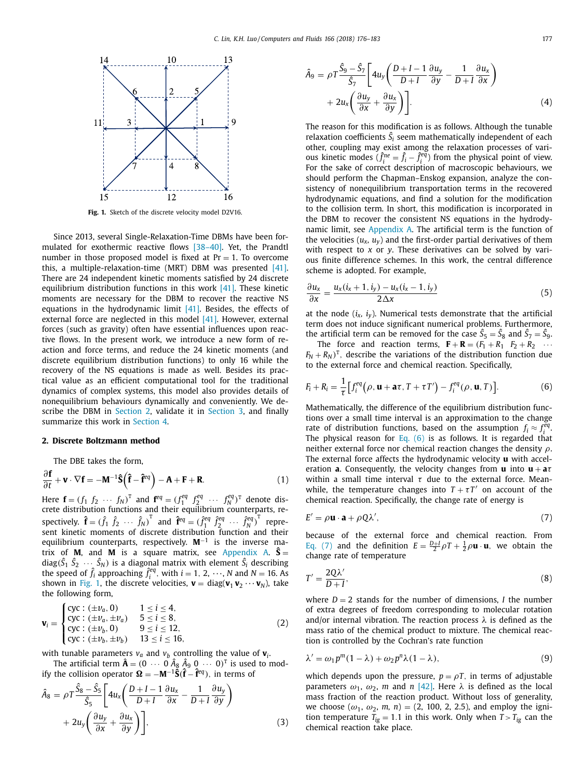<span id="page-1-0"></span>

**Fig. 1.** Sketch of the discrete velocity model D2V16.

Since 2013, several Single-Relaxation-Time DBMs have been formulated for exothermic reactive flows [\[38–40\].](#page-7-0) Yet, the Prandtl number in those proposed model is fixed at  $Pr = 1$ . To overcome this, a multiple-relaxation-time (MRT) DBM was presented [\[41\].](#page-7-0) There are 24 independent kinetic moments satisfied by 24 discrete equilibrium distribution functions in this work [\[41\].](#page-7-0) These kinetic moments are necessary for the DBM to recover the reactive NS equations in the hydrodynamic limit [\[41\].](#page-7-0) Besides, the effects of external force are neglected in this model [\[41\].](#page-7-0) However, external forces (such as gravity) often have essential influences upon reactive flows. In the present work, we introduce a new form of reaction and force terms, and reduce the 24 kinetic moments (and discrete equilibrium distribution functions) to only 16 while the recovery of the NS equations is made as well. Besides its practical value as an efficient computational tool for the traditional dynamics of complex systems, this model also provides details of nonequilibrium behaviours dynamically and conveniently. We describe the DBM in Section 2, validate it in [Section](#page-2-0) 3, and finally summarize this work in [Section](#page-5-0) 4.

#### **2. Discrete Boltzmann method**

The DBE takes the form,

$$
\frac{\partial \mathbf{f}}{\partial t} + \mathbf{v} \cdot \nabla \mathbf{f} = -\mathbf{M}^{-1} \hat{\mathbf{S}} \left( \hat{\mathbf{f}} - \hat{\mathbf{f}}^{eq} \right) - \mathbf{A} + \mathbf{F} + \mathbf{R}.
$$
 (1)

Here  $\mathbf{f} = (f_1 \ f_2 \ \cdots \ f_N)^T$  and  $\mathbf{f}^{eq} = (f_1^{eq} \ f_2^{eq} \ \cdots \ f_N^{eq})^T$  denote distribution functions and their equilibrium counterparts, respectively.  $\hat{\mathbf{f}} = (\hat{f}_1 \ \hat{f}_2 \ \cdots \ \hat{f}_N)^T$  and  $\hat{\mathbf{f}}^{eq} = (\hat{f}_1^{eq} \ \hat{f}_2^{eq} \ \cdots \ \hat{f}_N^{eq})^T$  represent kinetic moments of discrete distribution function and their equilibrium counterparts, respectively. **M**−<sup>1</sup> is the inverse matrix of **M**, and **M** is a square matrix, see Appendix A.  $\hat{S}$  =  $\text{diag}(\hat{S}_1 \ \hat{S}_2 \ \cdots \ \hat{S}_N)$  is a diagonal matrix with element  $\hat{S}_i$  describing the speed of  $\hat{f}_i$  approaching  $\hat{f}_i^{eq}$ , with  $i = 1, 2, \dots, N$  and  $N = 16$ . As shown in Fig. 1, the discrete velocities,  $\mathbf{v} = \text{diag}(\mathbf{v}_1 \, \mathbf{v}_2 \cdots \mathbf{v}_N)$ , take the following form,

$$
\mathbf{v}_{i} = \begin{cases} \text{cyc} : (\pm v_{a}, 0) & 1 \leq i \leq 4, \\ \text{cyc} : (\pm v_{a}, \pm v_{a}) & 5 \leq i \leq 8, \\ \text{cyc} : (\pm v_{b}, 0) & 9 \leq i \leq 12, \\ \text{cyc} : (\pm v_{b}, \pm v_{b}) & 13 \leq i \leq 16, \end{cases}
$$
(2)

with tunable parameters  $v_a$  and  $v_b$  controlling the value of  $v_i$ .

The artificial term  $\hat{\mathbf{A}} = (0 \cdots 0) \hat{A}_8 \hat{A}_9 \hat{0} \cdots 0)^T$  is used to modify the collision operator  $\Omega = -M^{-1}\hat{S}(\hat{f} - \hat{f}^{eq})$ , in terms of

$$
\hat{A}_8 = \rho T \frac{\hat{S}_8 - \hat{S}_5}{\hat{S}_5} \left[ 4u_x \left( \frac{D + I - 1}{D + I} \frac{\partial u_x}{\partial x} - \frac{1}{D + I} \frac{\partial u_y}{\partial y} \right) + 2u_y \left( \frac{\partial u_y}{\partial x} + \frac{\partial u_x}{\partial y} \right) \right],\tag{3}
$$

$$
\hat{A}_9 = \rho T \frac{\hat{S}_9 - \hat{S}_7}{\hat{S}_7} \left[ 4u_y \left( \frac{D + I - 1}{D + I} \frac{\partial u_y}{\partial y} - \frac{1}{D + I} \frac{\partial u_x}{\partial x} \right) + 2u_x \left( \frac{\partial u_y}{\partial x} + \frac{\partial u_x}{\partial y} \right) \right].
$$
\n(4)

The reason for this modification is as follows. Although the tunable relaxation coefficients  $\hat{S}_i$  seem mathematically independent of each other, coupling may exist among the relaxation processes of various kinetic modes  $(\hat{f}_i^{ne} = \hat{f}_i - \hat{f}_i^{eq})$  from the physical point of view. For the sake of correct description of macroscopic behaviours, we should perform the Chapman–Enskog expansion, analyze the consistency of nonequilibrium transportation terms in the recovered hydrodynamic equations, and find a solution for the modification to the collision term. In short, this modification is incorporated in the DBM to recover the consistent NS equations in the hydrodynamic limit, see Appendix A. The artificial term is the function of the velocities  $(u_x, u_y)$  and the first-order partial derivatives of them with respect to *x* or *y*. These derivatives can be solved by various finite difference schemes. In this work, the central difference scheme is adopted. For example,

$$
\frac{\partial u_x}{\partial x} = \frac{u_x(i_x + 1, i_y) - u_x(i_x - 1, i_y)}{2\Delta x}
$$
(5)

at the node  $(i_x, i_y)$ . Numerical tests demonstrate that the artificial term does not induce significant numerical problems. Furthermore, the artificial term can be removed for the case  $\hat{S}_5 = \hat{S}_8$  and  $\hat{S}_7 = \hat{S}_9$ .

The force and reaction terms,  $\mathbf{F} + \mathbf{R} = (F_1 + R_1 \quad F_2 + R_2 \quad \cdots$  $F_N + R_N$ <sup>T</sup>, describe the variations of the distribution function due to the external force and chemical reaction. Specifically,

$$
F_i + R_i = \frac{1}{\tau} \Big[ f_i^{eq} \big( \rho, \mathbf{u} + \mathbf{a}\tau, T + \tau T' \big) - f_i^{eq} \big( \rho, \mathbf{u}, T \big) \Big]. \tag{6}
$$

Mathematically, the difference of the equilibrium distribution functions over a small time interval is an approximation to the change rate of distribution functions, based on the assumption  $f_i \approx f_i^{\bar{e}q}$ . The physical reason for Eq. (6) is as follows. It is regarded that neither external force nor chemical reaction changes the density  $\rho$ . The external force affects the hydrodynamic velocity **u** with acceleration **<sup>a</sup>**. Consequently, the velocity changes from **<sup>u</sup>** into **<sup>u</sup>** <sup>+</sup> **<sup>a</sup>**τ within a small time interval  $\tau$  due to the external force. Meanwhile, the temperature changes into  $T + \tau T'$  on account of the chemical reaction. Specifically, the change rate of energy is

$$
E' = \rho \mathbf{u} \cdot \mathbf{a} + \rho Q \lambda',\tag{7}
$$

because of the external force and chemical reaction. From Eq. (7) and the definition  $E = \frac{D+I}{2} \rho T + \frac{1}{2} \rho \mathbf{u} \cdot \mathbf{u}$ , we obtain the change rate of temperature

$$
T' = \frac{2Q\lambda'}{D+I},\tag{8}
$$

where  $D = 2$  stands for the number of dimensions, *I* the number of extra degrees of freedom corresponding to molecular rotation and/or internal vibration. The reaction process  $\lambda$  is defined as the mass ratio of the chemical product to mixture. The chemical reaction is controlled by the Cochran's rate function

$$
\lambda' = \omega_1 p^m (1 - \lambda) + \omega_2 p^n \lambda (1 - \lambda), \tag{9}
$$

which depends upon the pressure,  $p = \rho T$ , in terms of adjustable parameters  $\omega_1$ ,  $\omega_2$ , *m* and *n* [\[42\].](#page-7-0) Here  $\lambda$  is defined as the local mass fraction of the reaction product. Without loss of generality, we choose  $(\omega_1, \omega_2, m, n) = (2, 100, 2, 2.5)$ , and employ the ignition temperature  $T_{ig} = 1.1$  in this work. Only when  $T > T_{ig}$  can the chemical reaction take place.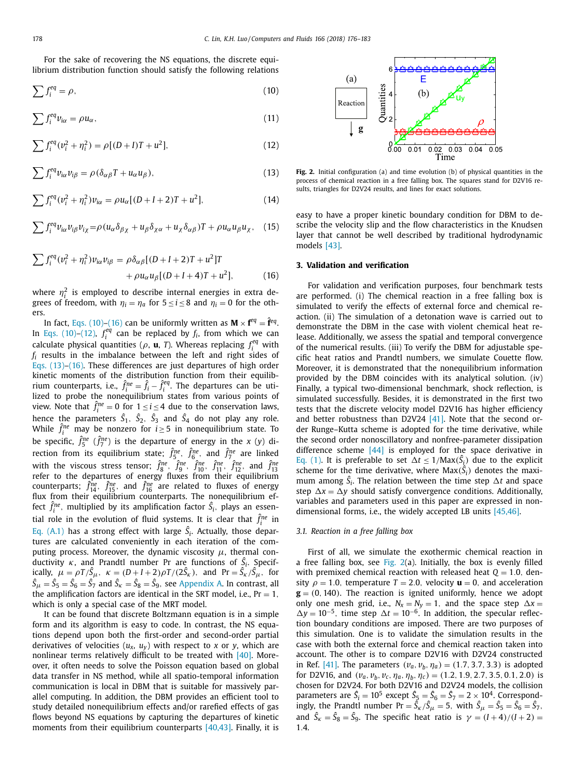<span id="page-2-0"></span>For the sake of recovering the NS equations, the discrete equilibrium distribution function should satisfy the following relations

$$
\sum f_i^{eq} = \rho,\tag{10}
$$

$$
\sum f_i^{eq} v_{i\alpha} = \rho u_{\alpha},\tag{11}
$$

$$
\sum f_i^{eq} (v_i^2 + \eta_i^2) = \rho [(D+I)T + u^2], \tag{12}
$$

$$
\sum f_i^{eq} v_{i\alpha} v_{i\beta} = \rho (\delta_{\alpha\beta} T + u_\alpha u_\beta), \tag{13}
$$

$$
\sum f_i^{eq} (v_i^2 + \eta_i^2) v_{i\alpha} = \rho u_{\alpha} [(D + I + 2)T + u^2], \tag{14}
$$

$$
\sum f_i^{eq} v_{i\alpha} v_{i\beta} v_{i\chi} = \rho (u_{\alpha} \delta_{\beta\chi} + u_{\beta} \delta_{\chi\alpha} + u_{\chi} \delta_{\alpha\beta}) T + \rho u_{\alpha} u_{\beta} u_{\chi}, \quad (15)
$$

$$
\sum f_i^{eq} (v_i^2 + \eta_i^2) v_{i\alpha} v_{i\beta} = \rho \delta_{\alpha\beta} [(D + I + 2)T + u^2]T + \rho u_{\alpha} u_{\beta} [(D + I + 4)T + u^2],
$$
(16)

where  $\eta_i^2$  is employed to describe internal energies in extra degrees of freedom, with  $\eta_i = \eta_a$  for  $5 \le i \le 8$  and  $\eta_i = 0$  for the others.

In fact, Eqs. (10)–(16) can be uniformly written as  $M \times f^{eq} = \hat{f}^{eq}$ . In Eqs. (10)–(12),  $f_i^{eq}$  can be replaced by  $f_i$ , from which we can calculate physical quantities ( $\rho$ , **u**, *T*). Whereas replacing  $f_i^{eq}$  with *fi* results in the imbalance between the left and right sides of Eqs. (13)–(16). These differences are just departures of high order kinetic moments of the distribution function from their equilibrium counterparts, i.e.,  $\hat{f}_i^{ne} = \hat{f}_i - \hat{f}_i^{eq}$ . The departures can be utilized to probe the nonequilibrium states from various points of view. Note that  $\hat{f}^{ne}_{i} = 0$  for  $1 \leq i \leq 4$  due to the conservation laws, hence the parameters  $\hat{S}_1$ ,  $\hat{S}_2$ ,  $\hat{S}_3$  and  $\hat{S}_4$  do not play any role. While  $\hat{f}^{ne}_i$  may be nonzero for  $i \geq 5$  in nonequilibrium state. To be specific,  $\hat{f}_5^{\text{ne}}$  ( $\hat{f}_7^{\text{ne}}$ ) is the departure of energy in the *x* (*y*) direction from its equilibrium state;  $\hat{f}_5^{ne}$ ,  $\hat{f}_6^{ne}$ , and  $\hat{f}_7^{ne}$  are linked with the viscous stress tensor;  $\hat{f}_R^{\text{ne}}$ ,  $\hat{f}_S^{\text{ne}}$ ,  $\hat{f}_{11}^{\text{ne}}$ ,  $\hat{f}_{11}^{\text{ne}}$ ,  $\hat{f}_{12}^{\text{ne}}$ , and  $\hat{f}_{13}^{\text{ne}}$ <br>refer to the departures of energy fluxes from their equilibrium counterparts;  $\hat{f}_{14}^{ne}$ ,  $\hat{f}_{15}^{ne}$ , and  $\hat{f}_{16}^{ne}$  are related to fluxes of energy flux from their equilibrium counterparts. The nonequilibrium effect  $\hat{f}^{\text{ne}}_i$ , multiplied by its amplification factor  $\hat{S}_i$ , plays an essential role in the evolution of fluid systems. It is clear that  $\hat{f}^{ne}_i$  in Eq. [\(A.1\)](#page-6-0) has a strong effect with large  $\hat{S}_i$ . Actually, those departures are calculated conveniently in each iteration of the computing process. Moreover, the dynamic viscosity  $\mu$ , thermal conductivity  $\kappa$ , and Prandtl number Pr are functions of  $\hat{S}_i$ . Specifically,  $\mu = \rho T / \hat{S}_{\mu}$ ,  $\kappa = (D + I + 2)\rho T / (2\hat{S}_{\kappa})$ , and  $Pr = \hat{S}_{\kappa} / \hat{S}_{\mu}$ , for  $\hat{S}_{\mu} = \hat{S}_{5} = \hat{S}_{6} = \hat{S}_{7}$  and  $\hat{S}_{\kappa} = \hat{S}_{8} = \hat{S}_{9}$ , see Appendix A. In contrast, all the amplification factors are identical in the SRT model, i.e.,  $Pr = 1$ . which is only a special case of the MRT model.

It can be found that discrete Boltzmann equation is in a simple form and its algorithm is easy to code. In contrast, the NS equations depend upon both the first-order and second-order partial derivatives of velocities  $(u_x, u_y)$  with respect to *x* or *y*, which are nonlinear terms relatively difficult to be treated with [\[40\].](#page-7-0) Moreover, it often needs to solve the Poisson equation based on global data transfer in NS method, while all spatio-temporal information communication is local in DBM that is suitable for massively parallel computing. In addition, the DBM provides an efficient tool to study detailed nonequilibrium effects and/or rarefied effects of gas flows beyond NS equations by capturing the departures of kinetic moments from their equilibrium counterparts [\[40,43\].](#page-7-0) Finally, it is



**Fig. 2.** Initial configuration (a) and time evolution (b) of physical quantities in the process of chemical reaction in a free falling box. The squares stand for D2V16 results, triangles for D2V24 results, and lines for exact solutions.

easy to have a proper kinetic boundary condition for DBM to describe the velocity slip and the flow characteristics in the Knudsen layer that cannot be well described by traditional hydrodynamic models [\[43\].](#page-7-0)

### **3. Validation and verification**

For validation and verification purposes, four benchmark tests are performed. (i) The chemical reaction in a free falling box is simulated to verify the effects of external force and chemical reaction. (ii) The simulation of a detonation wave is carried out to demonstrate the DBM in the case with violent chemical heat release. Additionally, we assess the spatial and temporal convergence of the numerical results. (iii) To verify the DBM for adjustable specific heat ratios and Prandtl numbers, we simulate Couette flow. Moreover, it is demonstrated that the nonequilibrium information provided by the DBM coincides with its analytical solution. (iv) Finally, a typical two-dimensional benchmark, shock reflection, is simulated successfully. Besides, it is demonstrated in the first two tests that the discrete velocity model D2V16 has higher efficiency and better robustness than D2V24 [\[41\].](#page-7-0) Note that the second order Runge–Kutta scheme is adopted for the time derivative, while the second order nonoscillatory and nonfree-parameter dissipation difference scheme  $[44]$  is employed for the space derivative in Eq. [\(1\).](#page-1-0) It is preferable to set  $\Delta t \leq 1/\text{Max}(\hat{S}_i)$  due to the explicit scheme for the time derivative, where  $Max(\hat{S}_i)$  denotes the maximum among  $\hat{S}_i$ . The relation between the time step  $\Delta t$  and space step  $\Delta x = \Delta y$  should satisfy convergence conditions. Additionally, variables and parameters used in this paper are expressed in nondimensional forms, i.e., the widely accepted LB units [\[45,46\].](#page-7-0)

#### *3.1. Reaction in a free falling box*

First of all, we simulate the exothermic chemical reaction in a free falling box, see Fig.  $2(a)$ . Initially, the box is evenly filled with premixed chemical reaction with released heat  $Q = 1.0$ , density  $\rho = 1.0$ , temperature  $T = 2.0$ , velocity  $\mathbf{u} = 0$ , and acceleration  $g = (0, 140)$ . The reaction is ignited uniformly, hence we adopt only one mesh grid, i.e.,  $N_x = N_y = 1$ , and the space step  $\Delta x =$  $\Delta y = 10^{-5}$ , time step  $\Delta t = 10^{-6}$ . In addition, the specular reflection boundary conditions are imposed. There are two purposes of this simulation. One is to validate the simulation results in the case with both the external force and chemical reaction taken into account. The other is to compare D2V16 with D2V24 constructed in Ref. [\[41\].](#page-7-0) The parameters  $(v_a, v_b, \eta_a) = (1.7, 3.7, 3.3)$  is adopted for D2V16, and  $(v_a, v_b, v_c, \eta_a, \eta_b, \eta_c) = (1.2, 1.9, 2.7, 3.5, 0.1, 2.0)$  is chosen for D2V24. For both D2V16 and D2V24 models, the collision parameters are  $\hat{S}_i = 10^5$  except  $\hat{S}_5 = \hat{S}_6 = \hat{S}_7 = 2 \times 10^4$ . Correspondingly, the Prandtl number  $Pr = \hat{S}_k / \hat{S}_\mu = 5$ , with  $\hat{S}_\mu = \hat{S}_5 = \hat{S}_6 = \hat{S}_7$ , and  $\hat{S}_k = \hat{S}_8 = \hat{S}_9$ . The specific heat ratio is  $\gamma = (I + 4)/(I + 2)$ 1.4.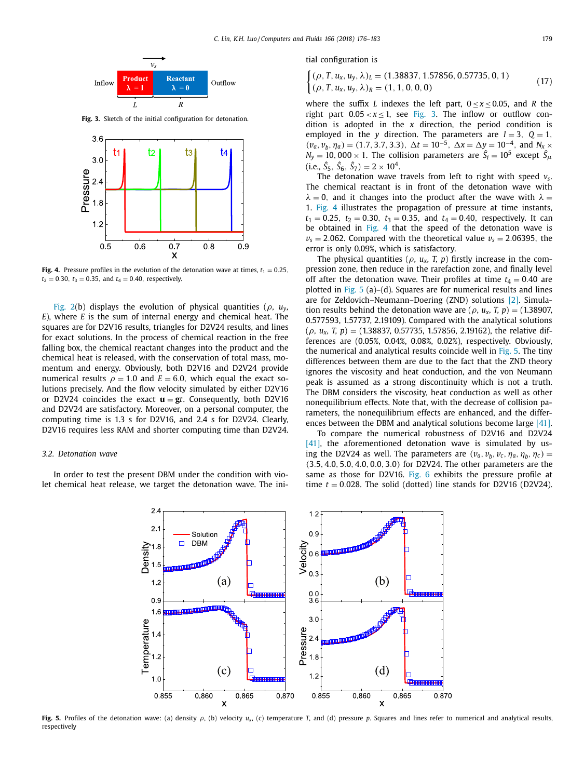

**Fig. 3.** Sketch of the initial configuration for detonation.



**Fig. 4.** Pressure profiles in the evolution of the detonation wave at times,  $t_1 = 0.25$ ,  $t_2 = 0.30$ ,  $t_3 = 0.35$ , and  $t_4 = 0.40$ , respectively.

[Fig.](#page-2-0) 2(b) displays the evolution of physical quantities ( $\rho$ ,  $u_v$ , *E*), where *E* is the sum of internal energy and chemical heat. The squares are for D2V16 results, triangles for D2V24 results, and lines for exact solutions. In the process of chemical reaction in the free falling box, the chemical reactant changes into the product and the chemical heat is released, with the conservation of total mass, momentum and energy. Obviously, both D2V16 and D2V24 provide numerical results  $\rho = 1.0$  and  $E = 6.0$ , which equal the exact solutions precisely. And the flow velocity simulated by either D2V16 or D2V24 coincides the exact  $\mathbf{u} = \mathbf{g}t$ . Consequently, both D2V16 and D2V24 are satisfactory. Moreover, on a personal computer, the computing time is 1.3 s for D2V16, and 2.4 s for D2V24. Clearly, D2V16 requires less RAM and shorter computing time than D2V24.

#### *3.2. Detonation wave*

In order to test the present DBM under the condition with violet chemical heat release, we target the detonation wave. The initial configuration is

$$
\begin{cases} (\rho, T, u_x, u_y, \lambda)_L = (1.38837, 1.57856, 0.57735, 0, 1) \\ (\rho, T, u_x, u_y, \lambda)_R = (1, 1, 0, 0, 0) \end{cases}
$$
(17)

where the suffix *L* indexes the left part,  $0 < x < 0.05$ , and *R* the right part  $0.05 < x < 1$ , see Fig. 3. The inflow or outflow condition is adopted in the *x* direction, the period condition is employed in the *y* direction. The parameters are  $I = 3$ ,  $Q = 1$ ,  $(v_a, v_b, \eta_a) = (1.7, 3.7, 3.3), \Delta t = 10^{-5}, \Delta x = \Delta y = 10^{-4}, \text{ and } N_x \times N_y$  $N_y = 10,000 \times 1$ . The collision parameters are  $\hat{S}_i = 10^5$  except  $\hat{S}_{\mu}$  $(i.e., \hat{S}_5, \hat{S}_6, \hat{S}_7) = 2 \times 10^4.$ 

The detonation wave travels from left to right with speed *vs*. The chemical reactant is in front of the detonation wave with  $\lambda = 0$ , and it changes into the product after the wave with  $\lambda =$ 1. Fig. 4 illustrates the propagation of pressure at time instants,  $t_1 = 0.25$ ,  $t_2 = 0.30$ ,  $t_3 = 0.35$ , and  $t_4 = 0.40$ , respectively. It can be obtained in Fig. 4 that the speed of the detonation wave is  $v_s = 2.062$ . Compared with the theoretical value  $v_s = 2.06395$ , the error is only 0.09%, which is satisfactory.

The physical quantities ( $\rho$ ,  $u_x$ , T, p) firstly increase in the compression zone, then reduce in the rarefaction zone, and finally level off after the detonation wave. Their profiles at time  $t_4 = 0.40$  are plotted in Fig.  $5$  (a)–(d). Squares are for numerical results and lines are for Zeldovich–Neumann–Doering (ZND) solutions [\[2\].](#page-7-0) Simulation results behind the detonation wave are ( $\rho$ ,  $u_x$ , *T*,  $p$ ) = (1.38907, 0.577593, 1.57737, 2.19109). Compared with the analytical solutions (ρ*, ux, T, <sup>p</sup>*) <sup>=</sup> (1.38837, 0.57735, 1.57856, 2.19162), the relative differences are (0.05%, 0.04%, 0.08%, 0.02%), respectively. Obviously, the numerical and analytical results coincide well in Fig. 5. The tiny differences between them are due to the fact that the ZND theory ignores the viscosity and heat conduction, and the von Neumann peak is assumed as a strong discontinuity which is not a truth. The DBM considers the viscosity, heat conduction as well as other nonequilibrium effects. Note that, with the decrease of collision parameters, the nonequilibrium effects are enhanced, and the differences between the DBM and analytical solutions become large [\[41\].](#page-7-0)

To compare the numerical robustness of D2V16 and D2V24 [\[41\],](#page-7-0) the aforementioned detonation wave is simulated by using the D2V24 as well. The parameters are  $(v_a, v_b, v_c, \eta_a, \eta_b, \eta_c)$ (3.5, 4.0, 5.0, 4.0, 0.0, 3.0) for D2V24. The other parameters are the same as those for D2V16. [Fig.](#page-4-0) 6 exhibits the pressure profile at time  $t = 0.028$ . The solid (dotted) line stands for D2V16 (D2V24).



**Fig. 5.** Profiles of the detonation wave: (a) density ρ, (b) velocity *ux*, (c) temperature *T*, and (d) pressure *p*. Squares and lines refer to numerical and analytical results, respectively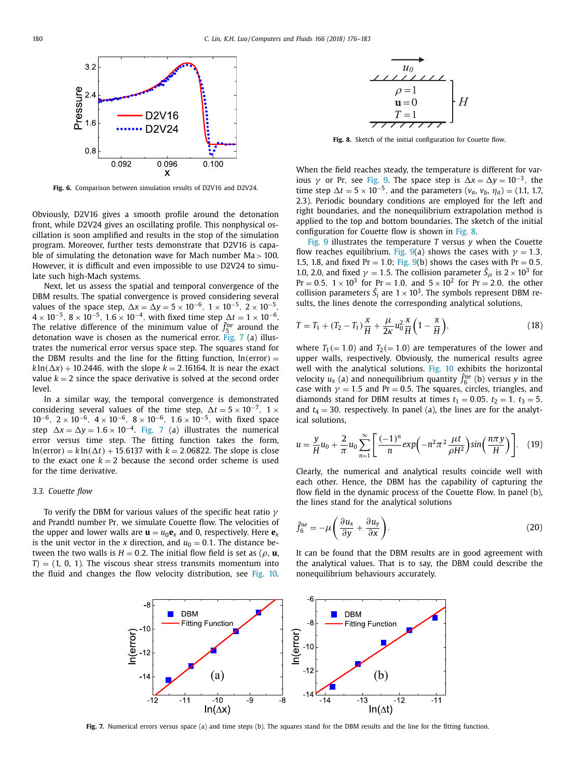<span id="page-4-0"></span>

**Fig. 6.** Comparison between simulation results of D2V16 and D2V24.

Obviously, D2V16 gives a smooth profile around the detonation front, while D2V24 gives an oscillating profile. This nonphysical oscillation is soon amplified and results in the stop of the simulation program. Moreover, further tests demonstrate that D2V16 is capable of simulating the detonation wave for Mach number  $Ma > 100$ . However, it is difficult and even impossible to use D2V24 to simulate such high-Mach systems.

Next, let us assess the spatial and temporal convergence of the DBM results. The spatial convergence is proved considering several values of the space step,  $\Delta x = \Delta y = 5 \times 10^{-6}$ ,  $1 \times 10^{-5}$ ,  $2 \times 10^{-5}$ ,  $4 \times 10^{-5}$ ,  $8 \times 10^{-5}$ ,  $1.6 \times 10^{-4}$ , with fixed time step  $\Delta t = 1 \times 10^{-6}$ . The relative difference of the minimum value of  $\hat{f}_5^{ne}$  around the detonation wave is chosen as the numerical error. Fig. 7 (a) illustrates the numerical error versus space step. The squares stand for the DBM results and the line for the fitting function,  $ln(error) =$  $k\ln(\Delta x) + 10.2446$ , with the slope  $k = 2.16164$ . It is near the exact value  $k = 2$  since the space derivative is solved at the second order level.

In a similar way, the temporal convergence is demonstrated considering several values of the time step,  $\Delta t = 5 \times 10^{-7}$ , 1 ×  $10^{-6}$ ,  $2 \times 10^{-6}$ ,  $4 \times 10^{-6}$ ,  $8 \times 10^{-6}$ ,  $1.6 \times 10^{-5}$ , with fixed space step  $\Delta x = \Delta y = 1.6 \times 10^{-4}$ . Fig. 7 (a) illustrates the numerical error versus time step. The fitting function takes the form,  $ln(error) = k ln(\Delta t) + 15.6137$  with  $k = 2.06822$ . The slope is close to the exact one  $k = 2$  because the second order scheme is used for the time derivative.

#### *3.3. Couette flow*

To verify the DBM for various values of the specific heat ratio  $\gamma$ and Prandtl number Pr, we simulate Couette flow. The velocities of the upper and lower walls are  $\mathbf{u} = u_0 \mathbf{e}_x$  and 0, respectively. Here  $\mathbf{e}_x$ is the unit vector in the *x* direction, and  $u_0 = 0.1$ . The distance between the two walls is  $H = 0.2$ . The initial flow field is set as ( $\rho$ , **u**,  $T$ ) = (1, 0, 1). The viscous shear stress transmits momentum into the fluid and changes the flow velocity distribution, see [Fig.](#page-5-0) 10.



**Fig. 8.** Sketch of the initial configuration for Couette flow.

When the field reaches steady, the temperature is different for various  $\gamma$  or Pr, see [Fig.](#page-5-0) 9. The space step is  $\Delta x = \Delta y = 10^{-3}$ , the time step  $\Delta t = 5 \times 10^{-5}$ , and the parameters ( $v_a$ ,  $v_b$ ,  $\eta_a$ ) = (1.1, 1.7, 2.3). Periodic boundary conditions are employed for the left and right boundaries, and the nonequilibrium extrapolation method is applied to the top and bottom boundaries. The sketch of the initial configuration for Couette flow is shown in Fig. 8.

[Fig.](#page-5-0) 9 illustrates the temperature *T* versus *y* when the Couette flow reaches equilibrium. [Fig.](#page-5-0) 9(a) shows the cases with  $\gamma = 1.3$ , 1.5, 1.8, and fixed  $Pr = 1.0$ ; [Fig.](#page-5-0) 9(b) shows the cases with  $Pr = 0.5$ , 1.0, 2.0, and fixed  $\gamma = 1.5$ . The collision parameter  $\hat{S}_{\mu}$  is  $2 \times 10^3$  for  $Pr = 0.5$ ,  $1 \times 10^3$  for  $Pr = 1.0$ , and  $5 \times 10^2$  for  $Pr = 2.0$ , the other collision parameters  $\hat{S}_i$  are  $1 \times 10^3$ . The symbols represent DBM results, the lines denote the corresponding analytical solutions,

$$
T = T_1 + (T_2 - T_1)\frac{x}{H} + \frac{\mu}{2\kappa}u_0^2\frac{x}{H}\left(1 - \frac{x}{H}\right),
$$
\n(18)

where  $T_1 (= 1.0)$  and  $T_2 (= 1.0)$  are temperatures of the lower and upper walls, respectively. Obviously, the numerical results agree well with the analytical solutions. [Fig.](#page-5-0) 10 exhibits the horizontal velocity  $u_x$  (a) and nonequilibrium quantity  $\hat{f}_6^{ne}$  (b) versus *y* in the case with  $\gamma = 1.5$  and Pr = 0.5. The squares, circles, triangles, and diamonds stand for DBM results at times  $t_1 = 0.05$ ,  $t_2 = 1$ ,  $t_3 = 5$ , and  $t_4 = 30$ , respectively. In panel (a), the lines are for the analytical solutions,

$$
u = \frac{y}{H}u_0 + \frac{2}{\pi}u_0 \sum_{n=1}^{\infty} \left[ \frac{(-1)^n}{n} exp\left(-n^2 \pi^2 \frac{\mu t}{\rho H^2}\right) sin\left(\frac{n \pi y}{H}\right) \right].
$$
 (19)

Clearly, the numerical and analytical results coincide well with each other. Hence, the DBM has the capability of capturing the flow field in the dynamic process of the Couette Flow. In panel (b), the lines stand for the analytical solutions

$$
\hat{f}_6^{ne} = -\mu \left( \frac{\partial u_x}{\partial y} + \frac{\partial u_y}{\partial x} \right).
$$
\n(20)

It can be found that the DBM results are in good agreement with the analytical values. That is to say, the DBM could describe the nonequilibrium behaviours accurately.



**Fig. 7.** Numerical errors versus space (a) and time steps (b). The squares stand for the DBM results and the line for the fitting function.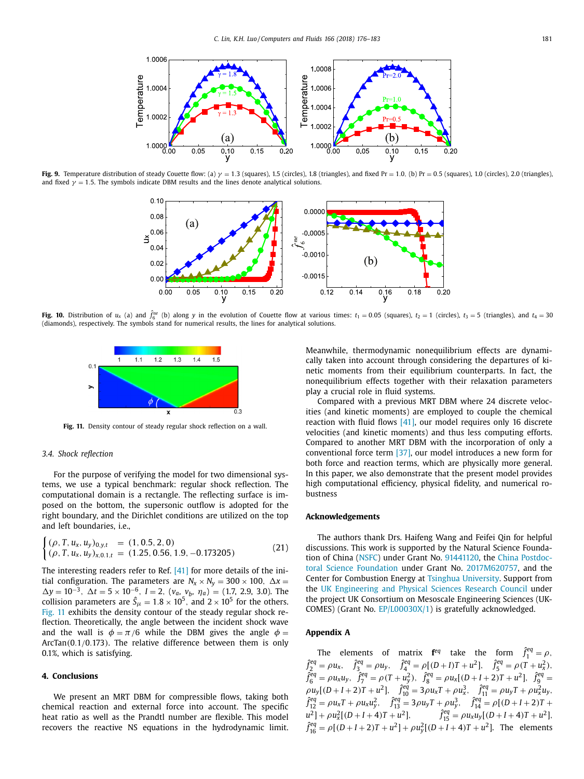<span id="page-5-0"></span>

**Fig.** 9. Temperature distribution of steady Couette flow: (a)  $\gamma = 1.3$  (squares), 1.5 (circles), 1.8 (triangles), and fixed Pr = 1.0, (b) Pr = 0.5 (squares), 1.0 (circles), 2.0 (triangles), and fixed  $\gamma = 1.5$ . The symbols indicate DBM results and the lines denote analytical solutions.



**Fig. 10.** Distribution of  $u_x$  (a) and  $\hat{f}_6^{\text{ne}}$  (b) along y in the evolution of Couette flow at various times:  $t_1 = 0.05$  (squares),  $t_2 = 1$  (circles),  $t_3 = 5$  (triangles), and  $t_4 = 30$ (diamonds), respectively. The symbols stand for numerical results, the lines for analytical solutions.



**Fig. 11.** Density contour of steady regular shock reflection on a wall.

#### *3.4. Shock reflection*

For the purpose of verifying the model for two dimensional systems, we use a typical benchmark: regular shock reflection. The computational domain is a rectangle. The reflecting surface is imposed on the bottom, the supersonic outflow is adopted for the right boundary, and the Dirichlet conditions are utilized on the top and left boundaries, i.e.,

$$
\begin{cases} (\rho, T, u_x, u_y)_{0,y,t} &= (1, 0.5, 2, 0) \\ (\rho, T, u_x, u_y)_{x,0.1,t} &= (1.25, 0.56, 1.9, -0.173205) \end{cases} \tag{21}
$$

The interesting readers refer to Ref. [\[41\]](#page-7-0) for more details of the initial configuration. The parameters are  $N_x \times N_y = 300 \times 100$ ,  $\Delta x =$  $\Delta y = 10^{-3}$ ,  $\Delta t = 5 \times 10^{-6}$ , *I* = 2, (*v<sub>a</sub>*, *v<sub>b</sub>*, *η<sub>a</sub>*) = (1.7, 2.9, 3.0). The collision parameters are  $\hat{S}_{\mu} = 1.8 \times 10^{5}$ , and 2 × 10<sup>5</sup> for the others. Fig. 11 exhibits the density contour of the steady regular shock reflection. Theoretically, the angle between the incident shock wave and the wall is  $\phi = \pi/6$  while the DBM gives the angle  $\phi =$ ArcTan(0.1/0.173). The relative difference between them is only 0.1%, which is satisfying.

#### **4. Conclusions**

We present an MRT DBM for compressible flows, taking both chemical reaction and external force into account. The specific heat ratio as well as the Prandtl number are flexible. This model recovers the reactive NS equations in the hydrodynamic limit. Meanwhile, thermodynamic nonequilibrium effects are dynamically taken into account through considering the departures of kinetic moments from their equilibrium counterparts. In fact, the nonequilibrium effects together with their relaxation parameters play a crucial role in fluid systems.

Compared with a previous MRT DBM where 24 discrete velocities (and kinetic moments) are employed to couple the chemical reaction with fluid flows [\[41\],](#page-7-0) our model requires only 16 discrete velocities (and kinetic moments) and thus less computing efforts. Compared to another MRT DBM with the incorporation of only a conventional force term [\[37\],](#page-7-0) our model introduces a new form for both force and reaction terms, which are physically more general. In this paper, we also demonstrate that the present model provides high computational efficiency, physical fidelity, and numerical robustness

#### **Acknowledgements**

The authors thank Drs. Haifeng Wang and Feifei Qin for helpful discussions. This work is supported by the Natural Science Foundation of China [\(NSFC\)](https://doi.org/10.13039/501100001809) under Grant No. 91441120, the China Postdoctoral Science Foundation under Grant No. [2017M620757,](https://doi.org/10.13039/501100002858) and the Center for Combustion Energy at Tsinghua [University.](https://doi.org/10.13039/501100004147) Support from the UK [Engineering](https://doi.org/10.13039/501100000266) and Physical Sciences Research Council under the project UK Consortium on Mesoscale Engineering Sciences (UK-COMES) (Grant No. EP/L00030X/1) is gratefully acknowledged.

#### **Appendix A**

The elements of matrix  $f^{eq}$  take the form  $\hat{f}^{eq}_1 = \rho$ ,  $\hat{f}_2^{eq} = \rho u_x$ ,  $\hat{f}_3^{eq} = \rho u_y$ ,  $\hat{f}_4^{eq} = \rho [(D+I)T + u^2]$ ,  $\hat{f}_5^{eq} = \rho (T + u_x^2)$ ,  $\hat{f}_6^{eq} = \rho u_x u_y, \quad \hat{f}_7^{eq} = \rho (T + u_y^2), \quad \hat{f}_8^{eq} = \rho u_x [(D + I + 2)T + u^2], \quad \hat{f}_9^{eq} =$  $\rho u_y[(D+I+2)T+u^2], \quad \hat{f}_{10}^{eq} = 3\rho u_xT + \rho u_x^3, \quad \hat{f}_{11}^{eq} = \rho u_yT + \rho u_x^2 u_y,$  $\hat{f}_{12}^{eq} = \rho u_x T + \rho u_x u_y^2$ ,  $\hat{f}_{13}^{eq} = 3\rho u_y T + \rho u_y^3$ ,  $\hat{f}_{14}^{eq} = \rho [(D + I + 2)T +$  $\hat{J}_{15}^{eq} = \rho u_x u_y [(D + I + 4)T + u^2],$   $\hat{J}_{15}^{eq} = \rho u_x u_y [(D + I + 4)T + u^2],$  $\hat{f}_{16}^{eq} = \rho [(D+I+2)T + u^2] + \rho u_y^2 [(D+I+4)T + u^2]$ . The elements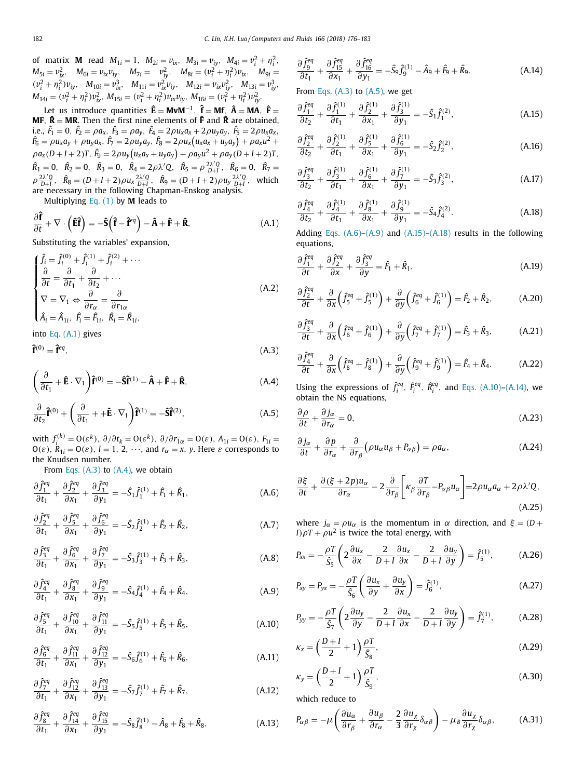<span id="page-6-0"></span>of matrix **M** read  $M_{1i} = 1$ ,  $M_{2i} = v_{ix}$ ,  $M_{3i} = v_{iy}$ ,  $M_{4i} = v_i^2 + \eta_i^2$ ,  $M_{5i} = v_{ix}^2$ ,  $M_{6i} = v_{ix}v_{iy}$ ,  $M_{7i} = v_{iy}^2$ ,  $M_{8i} = (v_i^2 + \eta_i^2)v_{ix}$ ,  $M_{9i} =$  $(v_i^2 + \eta_i^2)v_{iy}$ ,  $M_{10i} = v_{ix}^3$ ,  $M_{11i} = v_{ix}^2v_{iy}$ ,  $M_{12i} = v_{ix}v_{iy}^2$ ,  $M_{13i} = v_{iy}^3$ ,  $M_{14i} = (v_i^2 + \eta_i^2)v_{ix}^2$ ,  $M_{15i} = (v_i^2 + \eta_i^2)v_{ix}v_{iy}$ ,  $M_{16i} = (v_i^2 + \eta_i^2)v_{iy}^2$ .

Let us introduce quantities  $\hat{\mathbf{E}} = \mathbf{M} \mathbf{v} \mathbf{M}^{-1}$ ,  $\hat{\mathbf{f}} = \mathbf{M} \mathbf{f}$ ,  $\hat{\mathbf{A}} = \mathbf{M} \mathbf{A}$ ,  $\hat{\mathbf{F}} =$ **MF**,  $\hat{\mathbf{R}} = \mathbf{MR}$ . Then the first nine elements of  $\hat{\mathbf{F}}$  and  $\hat{\mathbf{R}}$  are obtained, i.e.,  $\hat{F}_1 = 0$ ,  $\hat{F}_2 = \rho a_x$ ,  $\hat{F}_3 = \rho a_y$ ,  $\hat{F}_4 = 2\rho u_x a_x + 2\rho u_y a_y$ ,  $\hat{F}_5 = 2\rho u_x a_x$ ,<br>  $\hat{F}_6 = \rho u_x a_y + \rho u_y a_x$ ,  $\hat{F}_7 = 2\rho u_y a_y$ ,  $\hat{F}_8 = 2\rho u_x (u_x a_x + u_y a_y) + \rho a_x u^2 +$  $\rho a_x(D+I+2)T$ ,  $\hat{F}_9 = 2\rho u_y(u_xa_x + u_ya_y) + \rho a_yu^2 + \rho a_y(D+I+2)T$ ,  $\hat{R}_1 = 0$ ,  $\hat{R}_2 = 0$ ,  $\hat{R}_3 = 0$ ,  $\hat{R}_4 = 2\rho\lambda'Q$ ,  $\hat{R}_5 = \rho \frac{2\lambda'Q}{D+I}$ ,  $\hat{R}_6 = 0$ ,  $\hat{R}_7 =$  $\rho \frac{2\lambda'Q}{D+I}$ ,  $\hat{R}_8 = (D+I+2)\rho u_x \frac{2\lambda'Q}{D+I}$ ,  $\hat{R}_9 = (D+I+2)\rho u_y \frac{2\lambda'Q}{D+I}$ , which are necessary in the following Chapman-Enskog analysis.

Multiplying [Eq.](#page-1-0) (1) by **M** leads to

$$
\frac{\partial \hat{\mathbf{f}}}{\partial t} + \nabla \cdot \left( \hat{\mathbf{E}} \hat{\mathbf{f}} \right) = -\hat{\mathbf{S}} \left( \hat{\mathbf{f}} - \hat{\mathbf{f}}^{eq} \right) - \hat{\mathbf{A}} + \hat{\mathbf{F}} + \hat{\mathbf{R}}, \tag{A.1}
$$

Substituting the variables' expansion,

$$
\begin{cases}\n\hat{f}_i = \hat{f}_i^{(0)} + \hat{f}_i^{(1)} + \hat{f}_i^{(2)} + \cdots \\
\frac{\partial}{\partial t} = \frac{\partial}{\partial t_1} + \frac{\partial}{\partial t_2} + \cdots \\
\nabla = \nabla_1 \Leftrightarrow \frac{\partial}{\partial r_\alpha} = \frac{\partial}{\partial r_{1\alpha}} \\
\hat{A}_i = \hat{A}_{1i}, \ \hat{F}_i = \hat{F}_{1i}, \ \hat{R}_i = \hat{R}_{1i},\n\end{cases} \tag{A.2}
$$

into Eq. (A.1) gives

$$
\hat{\mathbf{f}}^{(0)} = \hat{\mathbf{f}}^{eq},\tag{A.3}
$$

$$
\left(\frac{\partial}{\partial t_1} + \hat{\mathbf{E}} \cdot \nabla_1\right) \hat{\mathbf{f}}^{(0)} = -\hat{\mathbf{S}} \hat{\mathbf{f}}^{(1)} - \hat{\mathbf{A}} + \hat{\mathbf{F}} + \hat{\mathbf{R}},\tag{A.4}
$$

$$
\frac{\partial}{\partial t_2} \mathbf{\hat{f}}^{(0)} + \left( \frac{\partial}{\partial t_1} + + \mathbf{\hat{E}} \cdot \nabla_1 \right) \mathbf{\hat{f}}^{(1)} = -\mathbf{\hat{S}} \mathbf{\hat{f}}^{(2)},\tag{A.5}
$$

with  $f_i^{(k)} = O(\varepsilon^k)$ ,  $\partial/\partial t_k = O(\varepsilon^k)$ ,  $\partial/\partial r_{1\alpha} = O(\varepsilon)$ ,  $A_{1i} = O(\varepsilon)$ ,  $F_{1i} =$  $O(\varepsilon)$ ,  $\overline{R}_{1i} = O(\varepsilon)$ ,  $l = 1, 2, \dots$ , and  $r_{\alpha} = x$ , *y*. Here  $\varepsilon$  corresponds to the Knudsen number.

From Eqs.  $(A.3)$  to  $(A.4)$ , we obtain

$$
\frac{\partial \hat{f}_1^{eq}}{\partial t_1} + \frac{\partial \hat{f}_2^{eq}}{\partial x_1} + \frac{\partial \hat{f}_3^{eq}}{\partial y_1} = -\hat{S}_1 \hat{f}_1^{(1)} + \hat{F}_1 + \hat{R}_1,\tag{A.6}
$$

$$
\frac{\partial \hat{f}_2^{eq}}{\partial t_1} + \frac{\partial \hat{f}_5^{eq}}{\partial x_1} + \frac{\partial \hat{f}_6^{eq}}{\partial y_1} = -\hat{S}_2 \hat{f}_2^{(1)} + \hat{F}_2 + \hat{R}_2, \tag{A.7}
$$

$$
\frac{\partial \hat{f}_3^{eq}}{\partial t_1} + \frac{\partial \hat{f}_6^{eq}}{\partial x_1} + \frac{\partial \hat{f}_7^{eq}}{\partial y_1} = -\hat{S}_3 \hat{f}_3^{(1)} + \hat{F}_3 + \hat{R}_3, \tag{A.8}
$$

$$
\frac{\partial \hat{f}_4^{eq}}{\partial t_1} + \frac{\partial \hat{f}_8^{eq}}{\partial x_1} + \frac{\partial \hat{f}_9^{eq}}{\partial y_1} = -\hat{S}_4 \hat{f}_4^{(1)} + \hat{F}_4 + \hat{R}_4, \tag{A.9}
$$

$$
\frac{\partial \hat{f}_5^{eq}}{\partial t_1} + \frac{\partial \hat{f}_{10}^{eq}}{\partial x_1} + \frac{\partial \hat{f}_{11}^{eq}}{\partial y_1} = -\hat{S}_5 \hat{f}_5^{(1)} + \hat{F}_5 + \hat{R}_5, \tag{A.10}
$$

$$
\frac{\partial \hat{f}_6^{eq}}{\partial t_1} + \frac{\partial \hat{f}_{11}^{eq}}{\partial x_1} + \frac{\partial \hat{f}_{12}^{eq}}{\partial y_1} = -\hat{S}_6 \hat{f}_6^{(1)} + \hat{F}_6 + \hat{R}_6, \tag{A.11}
$$

$$
\frac{\partial \hat{f}_7^{eq}}{\partial t_1} + \frac{\partial \hat{f}_{12}^{eq}}{\partial x_1} + \frac{\partial \hat{f}_{13}^{eq}}{\partial y_1} = -\hat{S}_7 \hat{f}_7^{(1)} + \hat{F}_7 + \hat{R}_7,\tag{A.12}
$$

$$
\frac{\partial \hat{f}_8^{eq}}{\partial t_1} + \frac{\partial \hat{f}_{14}^{eq}}{\partial x_1} + \frac{\partial \hat{f}_{15}^{eq}}{\partial y_1} = -\hat{S}_8 \hat{f}_8^{(1)} - \hat{A}_8 + \hat{F}_8 + \hat{R}_8, \tag{A.13}
$$

$$
\frac{\partial \hat{f}_9^{eq}}{\partial t_1} + \frac{\partial \hat{f}_{15}^{eq}}{\partial x_1} + \frac{\partial \hat{f}_{16}^{eq}}{\partial y_1} = -\hat{S}_9 \hat{f}_9^{(1)} - \hat{A}_9 + \hat{F}_9 + \hat{R}_9. \tag{A.14}
$$

From Eqs.  $(A.3)$  to  $(A.5)$ , we get

$$
\frac{\partial \hat{f}_1^{eq}}{\partial t_2} + \frac{\partial \hat{f}_1^{(1)}}{\partial t_1} + \frac{\partial \hat{f}_2^{(1)}}{\partial x_1} + \frac{\partial \hat{f}_3^{(1)}}{\partial y_1} = -\hat{S}_1 \hat{f}_1^{(2)},\tag{A.15}
$$

$$
\frac{\partial \hat{f}_2^{eq}}{\partial t_2} + \frac{\partial \hat{f}_2^{(1)}}{\partial t_1} + \frac{\partial \hat{f}_5^{(1)}}{\partial x_1} + \frac{\partial \hat{f}_6^{(1)}}{\partial y_1} = -\hat{S}_2 \hat{f}_2^{(2)},\tag{A.16}
$$

$$
\frac{\partial \hat{f}_3^{eq}}{\partial t_2} + \frac{\partial \hat{f}_3^{(1)}}{\partial t_1} + \frac{\partial \hat{f}_6^{(1)}}{\partial x_1} + \frac{\partial \hat{f}_7^{(1)}}{\partial y_1} = -\hat{S}_3 \hat{f}_3^{(2)},\tag{A.17}
$$

$$
\frac{\partial \hat{f}_4^{eq}}{\partial t_2} + \frac{\partial \hat{f}_4^{(1)}}{\partial t_1} + \frac{\partial \hat{f}_8^{(1)}}{\partial x_1} + \frac{\partial \hat{f}_9^{(1)}}{\partial y_1} = -\hat{S}_4 \hat{f}_4^{(2)}.
$$
 (A.18)

Adding Eqs.  $(A.6)$ – $(A.9)$  and  $(A.15)$ – $(A.18)$  results in the following equations,

$$
\frac{\partial \hat{f}_1^{eq}}{\partial t} + \frac{\partial \hat{f}_2^{eq}}{\partial x} + \frac{\partial \hat{f}_3^{eq}}{\partial y} = \hat{F}_1 + \hat{R}_1,\tag{A.19}
$$

$$
\frac{\partial \hat{f}_2^{eq}}{\partial t} + \frac{\partial}{\partial x} \left( \hat{f}_5^{eq} + \hat{f}_5^{(1)} \right) + \frac{\partial}{\partial y} \left( \hat{f}_6^{eq} + \hat{f}_6^{(1)} \right) = \hat{F}_2 + \hat{R}_2, \tag{A.20}
$$

$$
\frac{\partial \hat{f}_3^{eq}}{\partial t} + \frac{\partial}{\partial x} \left( \hat{f}_6^{eq} + \hat{f}_6^{(1)} \right) + \frac{\partial}{\partial y} \left( \hat{f}_7^{eq} + \hat{f}_7^{(1)} \right) = \hat{F}_3 + \hat{R}_3, \tag{A.21}
$$

$$
\frac{\partial \hat{f}_4^{eq}}{\partial t} + \frac{\partial}{\partial x} \left( \hat{f}_8^{eq} + \hat{f}_8^{(1)} \right) + \frac{\partial}{\partial y} \left( \hat{f}_9^{eq} + \hat{f}_9^{(1)} \right) = \hat{F}_4 + \hat{R}_4.
$$
 (A.22)

Using the expressions of  $\hat{f}^{eq}_i$ ,  $\hat{F}^{eq}_i$ ,  $\hat{R}^{eq}_i$ , and Eqs. (A.10)–(A.14), we obtain the NS equations,

$$
\frac{\partial \rho}{\partial t} + \frac{\partial j_{\alpha}}{\partial r_{\alpha}} = 0, \tag{A.23}
$$

$$
\frac{\partial j_{\alpha}}{\partial t} + \frac{\partial p}{\partial r_{\alpha}} + \frac{\partial}{\partial r_{\beta}} (\rho u_{\alpha} u_{\beta} + P_{\alpha \beta}) = \rho a_{\alpha}, \qquad (A.24)
$$

$$
\frac{\partial \xi}{\partial t} + \frac{\partial (\xi + 2p)u_{\alpha}}{\partial r_{\alpha}} - 2\frac{\partial}{\partial r_{\beta}} \left[ \kappa_{\beta} \frac{\partial T}{\partial r_{\beta}} - P_{\alpha\beta} u_{\alpha} \right] = 2\rho u_{\alpha} a_{\alpha} + 2\rho \lambda' Q,
$$
\n(A.25)

where  $j_{\alpha} = \rho u_{\alpha}$  is the momentum in  $\alpha$  direction, and  $\xi = (D + \alpha)$ *I*) $\rho T + \rho u^2$  is twice the total energy, with

$$
P_{xx} = -\frac{\rho T}{\hat{S}_5} \left( 2\frac{\partial u_x}{\partial x} - \frac{2}{D+I} \frac{\partial u_x}{\partial x} - \frac{2}{D+I} \frac{\partial u_y}{\partial y} \right) = \hat{f}_5^{(1)}, \tag{A.26}
$$

$$
P_{xy} = P_{yx} = -\frac{\rho T}{\hat{S}_6} \left( \frac{\partial u_x}{\partial y} + \frac{\partial u_y}{\partial x} \right) = \hat{f}_6^{(1)}, \tag{A.27}
$$

$$
P_{yy} = -\frac{\rho T}{\hat{S}_7} \left( 2 \frac{\partial u_y}{\partial y} - \frac{2}{D+I} \frac{\partial u_x}{\partial x} - \frac{2}{D+I} \frac{\partial u_y}{\partial y} \right) = \hat{f}_7^{(1)}, \tag{A.28}
$$

$$
\kappa_x = \left(\frac{D+I}{2} + 1\right) \frac{\rho T}{\hat{S}_8},\tag{A.29}
$$

$$
\kappa_y = \left(\frac{D+I}{2} + 1\right) \frac{\rho T}{\hat{S}_9},\tag{A.30}
$$

which reduce to

$$
P_{\alpha\beta} = -\mu \left( \frac{\partial u_{\alpha}}{\partial r_{\beta}} + \frac{\partial u_{\beta}}{\partial r_{\alpha}} - \frac{2}{3} \frac{\partial u_{\chi}}{\partial r_{\chi}} \delta_{\alpha\beta} \right) - \mu_{B} \frac{\partial u_{\chi}}{\partial r_{\chi}} \delta_{\alpha\beta}, \tag{A.31}
$$